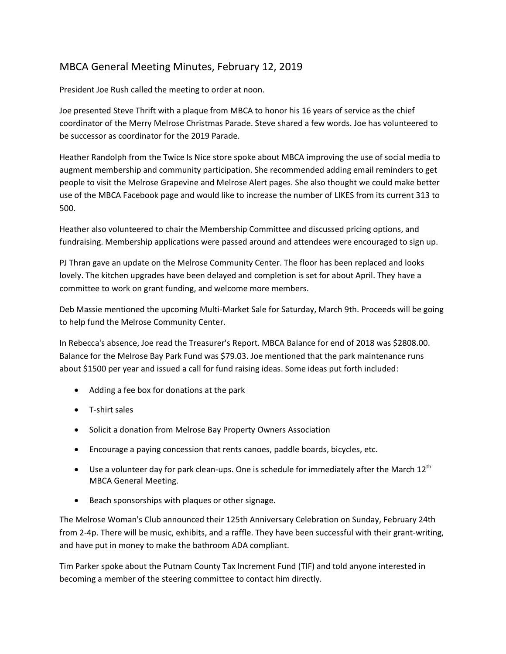## MBCA General Meeting Minutes, February 12, 2019

President Joe Rush called the meeting to order at noon.

Joe presented Steve Thrift with a plaque from MBCA to honor his 16 years of service as the chief coordinator of the Merry Melrose Christmas Parade. Steve shared a few words. Joe has volunteered to be successor as coordinator for the 2019 Parade.

Heather Randolph from the Twice Is Nice store spoke about MBCA improving the use of social media to augment membership and community participation. She recommended adding email reminders to get people to visit the Melrose Grapevine and Melrose Alert pages. She also thought we could make better use of the MBCA Facebook page and would like to increase the number of LIKES from its current 313 to 500.

Heather also volunteered to chair the Membership Committee and discussed pricing options, and fundraising. Membership applications were passed around and attendees were encouraged to sign up.

PJ Thran gave an update on the Melrose Community Center. The floor has been replaced and looks lovely. The kitchen upgrades have been delayed and completion is set for about April. They have a committee to work on grant funding, and welcome more members.

Deb Massie mentioned the upcoming Multi-Market Sale for Saturday, March 9th. Proceeds will be going to help fund the Melrose Community Center.

In Rebecca's absence, Joe read the Treasurer's Report. MBCA Balance for end of 2018 was \$2808.00. Balance for the Melrose Bay Park Fund was \$79.03. Joe mentioned that the park maintenance runs about \$1500 per year and issued a call for fund raising ideas. Some ideas put forth included:

- Adding a fee box for donations at the park
- T-shirt sales
- Solicit a donation from Melrose Bay Property Owners Association
- Encourage a paying concession that rents canoes, paddle boards, bicycles, etc.
- Use a volunteer day for park clean-ups. One is schedule for immediately after the March  $12^{th}$ MBCA General Meeting.
- Beach sponsorships with plaques or other signage.

The Melrose Woman's Club announced their 125th Anniversary Celebration on Sunday, February 24th from 2-4p. There will be music, exhibits, and a raffle. They have been successful with their grant-writing, and have put in money to make the bathroom ADA compliant.

Tim Parker spoke about the Putnam County Tax Increment Fund (TIF) and told anyone interested in becoming a member of the steering committee to contact him directly.